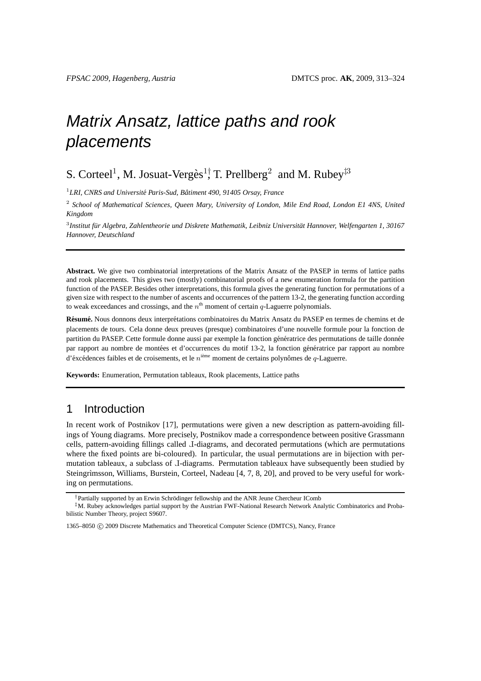# Matrix Ansatz, lattice paths and rook placements

# S. Corteel<sup>1</sup>, M. Josuat-Vergès<sup>1†</sup> T. Prellberg<sup>2</sup> and M. Rubey<sup>‡3</sup>

<sup>1</sup> LRI, CNRS and Université Paris-Sud, Bâtiment 490, 91405 Orsay, France

2 *School of Mathematical Sciences, Queen Mary, University of London, Mile End Road, London E1 4NS, United Kingdom*

<sup>3</sup> Institut für Algebra, Zahlentheorie und Diskrete Mathematik, Leibniz Universität Hannover, Welfengarten 1, 30167 *Hannover, Deutschland*

**Abstract.** We give two combinatorial interpretations of the Matrix Ansatz of the PASEP in terms of lattice paths and rook placements. This gives two (mostly) combinatorial proofs of a new enumeration formula for the partition function of the PASEP. Besides other interpretations, this formula gives the generating function for permutations of a given size with respect to the number of ascents and occurrences of the pattern 13-2, the generating function according to weak exceedances and crossings, and the  $n^{\text{th}}$  moment of certain q-Laguerre polynomials.

**Résumé.** Nous donnons deux interprétations combinatoires du Matrix Ansatz du PASEP en termes de chemins et de placements de tours. Cela donne deux preuves (presque) combinatoires d'une nouvelle formule pour la fonction de partition du PASEP. Cette formule donne aussi par exemple la fonction génératrice des permutations de taille donnée par rapport au nombre de montées et d'occurrences du motif 13-2, la fonction génératrice par rapport au nombre d'éxcédences faibles et de croisements, et le  $n^{\text{ieme}}$  moment de certains polynômes de  $q$ -Laguerre.

**Keywords:** Enumeration, Permutation tableaux, Rook placements, Lattice paths

# 1 Introduction

In recent work of Postnikov [17], permutations were given a new description as pattern-avoiding fillings of Young diagrams. More precisely, Postnikov made a correspondence between positive Grassmann cells, pattern-avoiding fillings called Γ -diagrams, and decorated permutations (which are permutations where the fixed points are bi-coloured). In particular, the usual permutations are in bijection with permutation tableaux, a subclass of J-diagrams. Permutation tableaux have subsequently been studied by Steingrimsson, Williams, Burstein, Corteel, Nadeau [4, 7, 8, 20], and proved to be very useful for working on permutations.

<sup>&</sup>lt;sup>†</sup>Partially supported by an Erwin Schrödinger fellowship and the ANR Jeune Chercheur IComb

<sup>‡</sup>M. Rubey acknowledges partial support by the Austrian FWF-National Research Network Analytic Combinatorics and Probabilistic Number Theory, project S9607.

<sup>1365–8050</sup> c 2009 Discrete Mathematics and Theoretical Computer Science (DMTCS), Nancy, France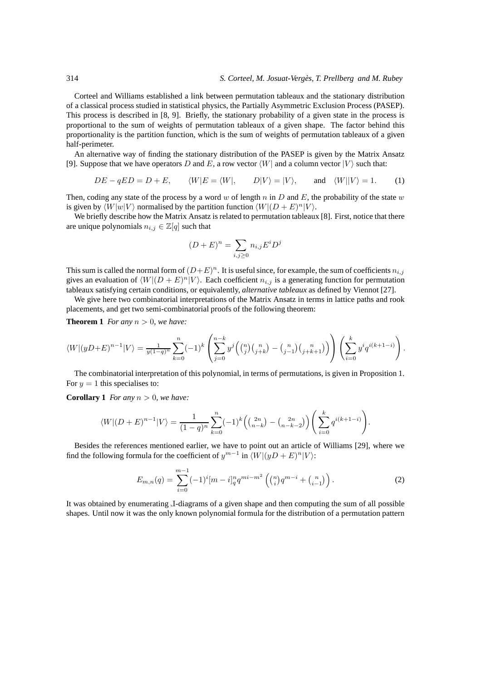Corteel and Williams established a link between permutation tableaux and the stationary distribution of a classical process studied in statistical physics, the Partially Asymmetric Exclusion Process (PASEP). This process is described in [8, 9]. Briefly, the stationary probability of a given state in the process is proportional to the sum of weights of permutation tableaux of a given shape. The factor behind this proportionality is the partition function, which is the sum of weights of permutation tableaux of a given half-perimeter.

An alternative way of finding the stationary distribution of the PASEP is given by the Matrix Ansatz [9]. Suppose that we have operators D and E, a row vector  $\langle W|$  and a column vector  $|V\rangle$  such that:

$$
DE - qED = D + E, \qquad \langle W|E = \langle W|, \qquad D|V\rangle = |V\rangle, \qquad \text{and} \quad \langle W||V\rangle = 1. \tag{1}
$$

Then, coding any state of the process by a word w of length n in D and E, the probability of the state w is given by  $\langle W|w|V\rangle$  normalised by the partition function  $\langle W|(D + E)^n|V\rangle$ .

We briefly describe how the Matrix Ansatz is related to permutation tableaux [8]. First, notice that there are unique polynomials  $n_{i,j} \in \mathbb{Z}[q]$  such that

$$
(D+E)^n = \sum_{i,j\geq 0} n_{i,j} E^i D^j
$$

This sum is called the normal form of  $(D+E)^n$ . It is useful since, for example, the sum of coefficients  $n_{i,j}$ gives an evaluation of  $\langle W|(D + E)^n|V\rangle$ . Each coefficient  $n_{i,j}$  is a generating function for permutation tableaux satisfying certain conditions, or equivalently, *alternative tableaux* as defined by Viennot [27].

We give here two combinatorial interpretations of the Matrix Ansatz in terms in lattice paths and rook placements, and get two semi-combinatorial proofs of the following theorem:

**Theorem 1** *For any*  $n > 0$ *, we have:* 

$$
\langle W|(yD+E)^{n-1}|V\rangle = \frac{1}{y(1-q)^n} \sum_{k=0}^n (-1)^k \left( \sum_{j=0}^{n-k} y^j \left( {n \choose j} {n \choose j+k} - {n \choose j-1} {n \choose j+k+1} \right) \right) \left( \sum_{i=0}^k y^i q^{i(k+1-i)} \right).
$$

The combinatorial interpretation of this polynomial, in terms of permutations, is given in Proposition 1. For  $y = 1$  this specialises to:

**Corollary 1** *For any*  $n > 0$ *, we have:* 

$$
\langle W|(D+E)^{n-1}|V\rangle = \frac{1}{(1-q)^n} \sum_{k=0}^n (-1)^k \left( \binom{2n}{n-k} - \binom{2n}{n-k-2} \right) \left( \sum_{i=0}^k q^{i(k+1-i)} \right).
$$

Besides the references mentioned earlier, we have to point out an article of Williams [29], where we find the following formula for the coefficient of  $y^{m-1}$  in  $\langle W|(yD+E)^n|V\rangle$ :

$$
E_{m,n}(q) = \sum_{i=0}^{m-1} (-1)^i [m-i]_q^n q^{mi-m^2} \left( {n \choose i} q^{m-i} + {n \choose i-1} \right). \tag{2}
$$

It was obtained by enumerating J-diagrams of a given shape and then computing the sum of all possible shapes. Until now it was the only known polynomial formula for the distribution of a permutation pattern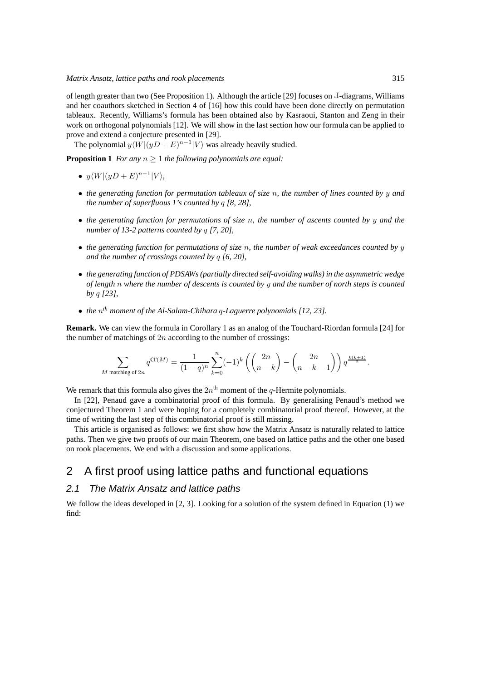of length greater than two (See Proposition 1). Although the article [29] focuses on J-diagrams, Williams and her coauthors sketched in Section 4 of [16] how this could have been done directly on permutation tableaux. Recently, Williams's formula has been obtained also by Kasraoui, Stanton and Zeng in their work on orthogonal polynomials [12]. We will show in the last section how our formula can be applied to prove and extend a conjecture presented in [29].

The polynomial  $y\langle W|(yD+E)^{n-1}|V\rangle$  was already heavily studied.

**Proposition 1** *For any* n ≥ 1 *the following polynomials are equal:*

•  $y\langle W|(yD+E)^{n-1}|V\rangle,$ 

 $\overline{M}$ 

- *the generating function for permutation tableaux of size* n*, the number of lines counted by* y *and the number of superfluous 1's counted by* q *[8, 28],*
- *the generating function for permutations of size* n*, the number of ascents counted by* y *and the number of 13-2 patterns counted by* q *[7, 20],*
- *the generating function for permutations of size* n*, the number of weak exceedances counted by* y *and the number of crossings counted by* q *[6, 20],*
- *the generating function of PDSAWs (partially directed self-avoiding walks) in the asymmetric wedge of length* n *where the number of descents is counted by* y *and the number of north steps is counted by* q *[23],*
- *the* n *th moment of the Al-Salam-Chihara* q*-Laguerre polynomials [12, 23].*

**Remark.** We can view the formula in Corollary 1 as an analog of the Touchard-Riordan formula [24] for the number of matchings of  $2n$  according to the number of crossings:

$$
\sum_{\text{matching of }2n}q^{\text{CT}(M)}=\frac{1}{(1-q)^n}\sum_{k=0}^n(-1)^k\left(\binom{2n}{n-k}-\binom{2n}{n-k-1}\right)q^{\frac{k(k+1)}{2}}.
$$

We remark that this formula also gives the  $2n<sup>th</sup>$  moment of the q-Hermite polynomials.

In [22], Penaud gave a combinatorial proof of this formula. By generalising Penaud's method we conjectured Theorem 1 and were hoping for a completely combinatorial proof thereof. However, at the time of writing the last step of this combinatorial proof is still missing.

This article is organised as follows: we first show how the Matrix Ansatz is naturally related to lattice paths. Then we give two proofs of our main Theorem, one based on lattice paths and the other one based on rook placements. We end with a discussion and some applications.

## 2 A first proof using lattice paths and functional equations

## 2.1 The Matrix Ansatz and lattice paths

We follow the ideas developed in [2, 3]. Looking for a solution of the system defined in Equation (1) we find: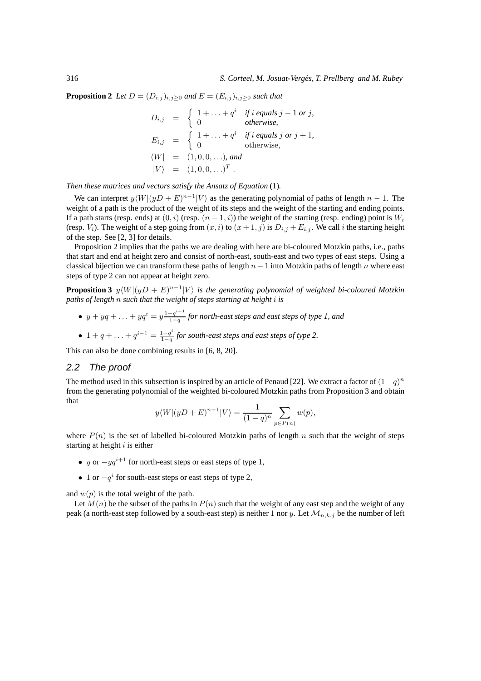**Proposition 2** *Let*  $D = (D_{i,j})_{i,j \geq 0}$  *and*  $E = (E_{i,j})_{i,j \geq 0}$  *such that* 

$$
D_{i,j} = \begin{cases} 1 + \dots + q^i & \text{if } i \text{ equals } j - 1 \text{ or } j, \\ 0 & \text{otherwise,} \end{cases}
$$
  
\n
$$
E_{i,j} = \begin{cases} 1 + \dots + q^i & \text{if } i \text{ equals } j \text{ or } j + 1, \\ 0 & \text{otherwise,} \end{cases}
$$
  
\n
$$
\langle W | = (1, 0, 0, \dots), \text{ and } \quad |V\rangle = (1, 0, 0, \dots)^T.
$$

*Then these matrices and vectors satisfy the Ansatz of Equation* (1)*.*

We can interpret  $y\langle W|(yD+E)^{n-1}|V\rangle$  as the generating polynomial of paths of length  $n-1$ . The weight of a path is the product of the weight of its steps and the weight of the starting and ending points. If a path starts (resp. ends) at  $(0, i)$  (resp.  $(n - 1, i)$ ) the weight of the starting (resp. ending) point is  $W_i$ (resp.  $V_i$ ). The weight of a step going from  $(x, i)$  to  $(x + 1, j)$  is  $D_{i,j} + E_{i,j}$ . We call i the starting height of the step. See [2, 3] for details.

Proposition 2 implies that the paths we are dealing with here are bi-coloured Motzkin paths, i.e., paths that start and end at height zero and consist of north-east, south-east and two types of east steps. Using a classical bijection we can transform these paths of length  $n-1$  into Motzkin paths of length n where east steps of type 2 can not appear at height zero.

**Proposition 3**  $y \langle W | (yD + E)^{n-1} | V \rangle$  is the generating polynomial of weighted bi-coloured Motzkin *paths of length* n *such that the weight of steps starting at height* i *is*

- $y + yq + \ldots + yq^{i} = y \frac{1-q^{i+1}}{1-q}$ 1−q *for north-east steps and east steps of type 1, and*
- 1 + q + ... +  $q^{i-1} = \frac{1-q^i}{1-q}$ 1−q *for south-east steps and east steps of type 2.*

This can also be done combining results in [6, 8, 20].

### 2.2 The proof

The method used in this subsection is inspired by an article of Penaud [22]. We extract a factor of  $(1-q)^n$ from the generating polynomial of the weighted bi-coloured Motzkin paths from Proposition 3 and obtain that

$$
y\langle W|(yD+E)^{n-1}|V\rangle = \frac{1}{(1-q)^n} \sum_{p \in P(n)} w(p),
$$

where  $P(n)$  is the set of labelled bi-coloured Motzkin paths of length n such that the weight of steps starting at height  $i$  is either

- y or  $-yq^{i+1}$  for north-east steps or east steps of type 1,
- 1 or  $-q<sup>i</sup>$  for south-east steps or east steps of type 2,

and  $w(p)$  is the total weight of the path.

Let  $M(n)$  be the subset of the paths in  $P(n)$  such that the weight of any east step and the weight of any peak (a north-east step followed by a south-east step) is neither 1 nor y. Let  $\mathcal{M}_{n,k,j}$  be the number of left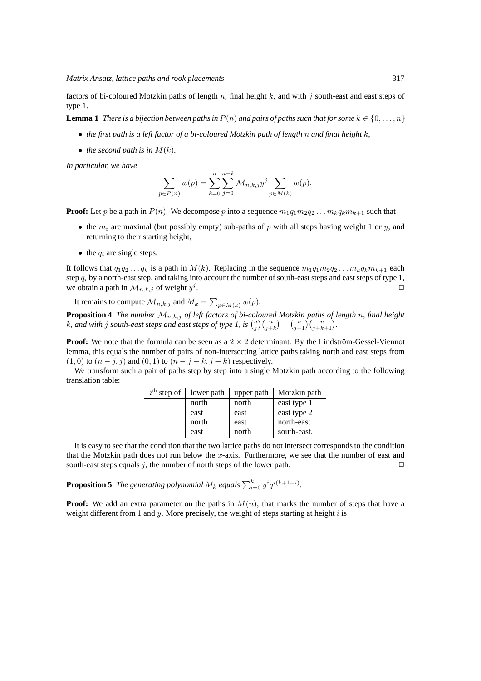factors of bi-coloured Motzkin paths of length  $n$ , final height  $k$ , and with  $j$  south-east and east steps of type 1.

**Lemma 1** *There is a bijection between paths in*  $P(n)$  *and pairs of paths such that for some*  $k \in \{0, \ldots, n\}$ 

- *the first path is a left factor of a bi-coloured Motzkin path of length* n *and final height* k*,*
- *the second path is in*  $M(k)$ *.*

*In particular, we have*

$$
\sum_{p \in P(n)} w(p) = \sum_{k=0}^{n} \sum_{j=0}^{n-k} \mathcal{M}_{n,k,j} y^{j} \sum_{p \in M(k)} w(p).
$$

**Proof:** Let p be a path in  $P(n)$ . We decompose p into a sequence  $m_1q_1m_2q_2 \ldots m_kq_km_{k+1}$  such that

- the  $m_i$  are maximal (but possibly empty) sub-paths of p with all steps having weight 1 or y, and returning to their starting height,
- the  $q_i$  are single steps.

It follows that  $q_1q_2 \ldots q_k$  is a path in  $M(k)$ . Replacing in the sequence  $m_1q_1m_2q_2 \ldots m_kq_km_{k+1}$  each step  $q_i$  by a north-east step, and taking into account the number of south-east steps and east steps of type 1, we obtain a path in  $\mathcal{M}_{n,k,j}$  of weight  $y^j$ . ✷

It remains to compute  $\mathcal{M}_{n,k,j}$  and  $M_k = \sum_{p \in M(k)} w(p)$ .

**Proposition 4** *The number* Mn,k,j *of left factors of bi-coloured Motzkin paths of length* n*, final height* k, and with j south-east steps and east steps of type 1, is  $\binom{n}{j}\binom{n}{j+k} - \binom{n}{j-1}\binom{n}{j+k+1}$ .

**Proof:** We note that the formula can be seen as a  $2 \times 2$  determinant. By the Lindström-Gessel-Viennot lemma, this equals the number of pairs of non-intersecting lattice paths taking north and east steps from  $(1, 0)$  to  $(n - j, j)$  and  $(0, 1)$  to  $(n - j - k, j + k)$  respectively.

We transform such a pair of paths step by step into a single Motzkin path according to the following translation table:

| $ith$ step of lower path | upper path | Motzkin path |
|--------------------------|------------|--------------|
| north                    | north      | east type 1  |
| east                     | east       | east type 2  |
| north                    | east       | north-east   |
| east                     | north      | south-east.  |

It is easy to see that the condition that the two lattice paths do not intersect corresponds to the condition that the Motzkin path does not run below the  $x$ -axis. Furthermore, we see that the number of east and south-east steps equals j, the number of north steps of the lower path.  $\Box$ 

**Proposition 5** The generating polynomial  $M_k$  equals  $\sum_{i=0}^k y^i q^{i(k+1-i)}$ .

**Proof:** We add an extra parameter on the paths in  $M(n)$ , that marks the number of steps that have a weight different from 1 and y. More precisely, the weight of steps starting at height  $i$  is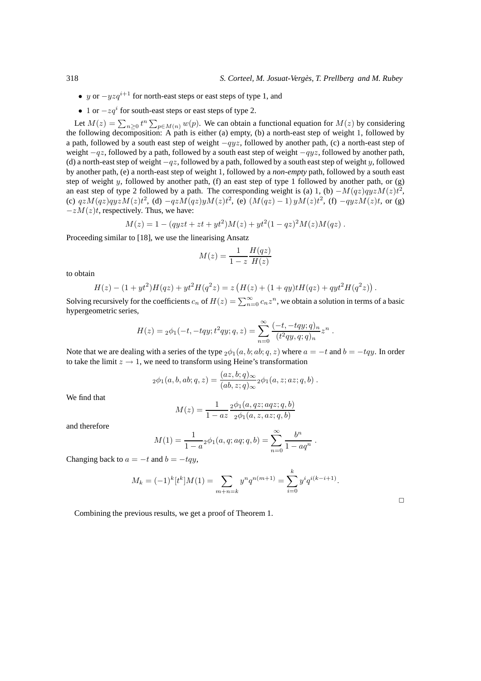- y or  $-yzq^{i+1}$  for north-east steps or east steps of type 1, and
- 1 or  $-zq^i$  for south-east steps or east steps of type 2.

Let  $M(z) = \sum_{n \geq 0} t^n \sum_{p \in M(n)} w(p)$ . We can obtain a functional equation for  $M(z)$  by considering the following decomposition: A path is either (a) empty, (b) a north-east step of weight 1, followed by a path, followed by a south east step of weight  $-qyz$ , followed by another path, (c) a north-east step of weight  $-qz$ , followed by a path, followed by a south east step of weight  $-qyz$ , followed by another path, (d) a north-east step of weight  $-qz$ , followed by a path, followed by a south east step of weight y, followed by another path, (e) a north-east step of weight 1, followed by a *non-empty* path, followed by a south east step of weight y, followed by another path, (f) an east step of type 1 followed by another path, or (g) an east step of type 2 followed by a path. The corresponding weight is (a) 1, (b)  $-M(qz)qyzM(z)t^2$ , (c)  $qzM(qz)qyzM(z)t^2$ , (d)  $-qzM(qz)yM(z)t^2$ , (e)  $(M(qz) - 1) yM(z)t^2$ , (f)  $-qyzM(z)t$ , or (g)  $-zM(z)t$ , respectively. Thus, we have:

$$
M(z) = 1 - (qyzt + zt + yt^2)M(z) + yt^2(1 - qz)^2M(z)M(qz).
$$

Proceeding similar to [18], we use the linearising Ansatz

$$
M(z) = \frac{1}{1-z} \frac{H(qz)}{H(z)}
$$

to obtain

$$
H(z) - (1 + yt^2)H(qz) + yt^2H(q^2z) = z\left(H(z) + (1+qy)tH(qz) + qyt^2H(q^2z)\right).
$$

Solving recursively for the coefficients  $c_n$  of  $H(z) = \sum_{n=0}^{\infty} c_n z^n$ , we obtain a solution in terms of a basic hypergeometric series,

$$
H(z) = {}_2\phi_1(-t, -tqy; t^2qy; q, z) = \sum_{n=0}^{\infty} \frac{(-t, -tqy; q)_n}{(t^2qy, q; q)_n} z^n.
$$

Note that we are dealing with a series of the type  $_2\phi_1(a, b; ab; q, z)$  where  $a = -t$  and  $b = -tqy$ . In order to take the limit  $z \to 1$ , we need to transform using Heine's transformation

$$
{}_2\phi_1(a,b,ab;q,z)=\frac{(az,b;q)_\infty}{(ab,z;q)_\infty}{}_2\phi_1(a,z;az;q,b) .
$$

We find that

$$
M(z) = \frac{1}{1 - az} \frac{2\phi_1(a, qz; aqz; q, b)}{2\phi_1(a, z, az; q, b)}
$$

and therefore

$$
M(1) = \frac{1}{1-a} \cdot 2\phi_1(a, q; aq; q, b) = \sum_{n=0}^{\infty} \frac{b^n}{1-aq^n}.
$$

Changing back to  $a = -t$  and  $b = -tqy$ ,

$$
M_k = (-1)^k [t^k] M(1) = \sum_{m+n=k} y^n q^{n(m+1)} = \sum_{i=0}^k y^i q^{i(k-i+1)}.
$$

 $\Box$ 

Combining the previous results, we get a proof of Theorem 1.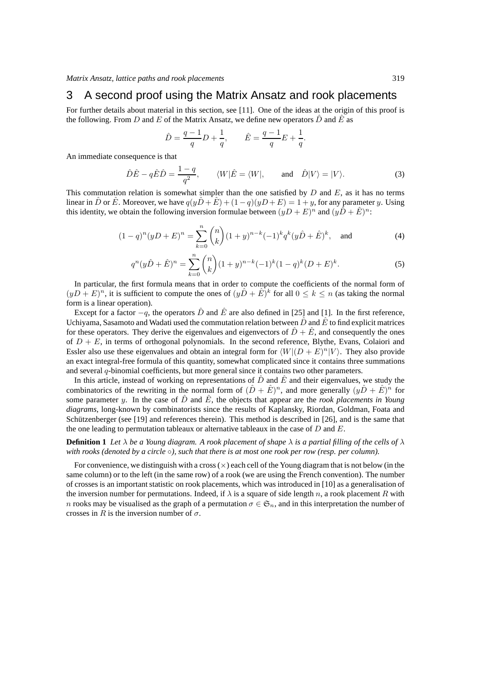## 3 A second proof using the Matrix Ansatz and rook placements

For further details about material in this section, see [11]. One of the ideas at the origin of this proof is the following. From D and E of the Matrix Ansatz, we define new operators  $\hat{D}$  and  $\hat{E}$  as

$$
\hat{D} = \frac{q-1}{q}D + \frac{1}{q}, \qquad \hat{E} = \frac{q-1}{q}E + \frac{1}{q}.
$$

An immediate consequence is that

$$
\hat{D}\hat{E} - q\hat{E}\hat{D} = \frac{1-q}{q^2}, \qquad \langle W|\hat{E} = \langle W|, \qquad \text{and} \quad \hat{D}|V\rangle = |V\rangle.
$$
 (3)

This commutation relation is somewhat simpler than the one satisfied by  $D$  and  $E$ , as it has no terms linear in  $\hat{D}$  or  $\hat{E}$ . Moreover, we have  $q(y\hat{D} + \hat{E}) + (1 - q)(y\hat{D} + E) = 1 + y$ , for any parameter y. Using this identity, we obtain the following inversion formulae between  $(yD+E)^n$  and  $(yD+\hat{E})^n$ :

$$
(1-q)^n(yD+E)^n = \sum_{k=0}^n \binom{n}{k} (1+y)^{n-k} (-1)^k q^k (y\hat{D} + \hat{E})^k, \text{ and } (4)
$$

$$
q^{n}(y\hat{D}+\hat{E})^{n} = \sum_{k=0}^{n} {n \choose k} (1+y)^{n-k} (-1)^{k} (1-q)^{k} (D+E)^{k}.
$$
 (5)

In particular, the first formula means that in order to compute the coefficients of the normal form of  $(yD + E)^n$ , it is sufficient to compute the ones of  $(y\hat{D} + \hat{E})^k$  for all  $0 \le k \le n$  (as taking the normal form is a linear operation).

Except for a factor  $-q$ , the operators  $\hat{D}$  and  $\hat{E}$  are also defined in [25] and [1]. In the first reference, Uchiyama, Sasamoto and Wadati used the commutation relation between  $\hat{D}$  and  $\hat{E}$  to find explicit matrices for these operators. They derive the eigenvalues and eigenvectors of  $\hat{D} + \hat{E}$ , and consequently the ones of  $D + E$ , in terms of orthogonal polynomials. In the second reference, Blythe, Evans, Colaiori and Essler also use these eigenvalues and obtain an integral form for  $\langle W|(D + E)^n|V\rangle$ . They also provide an exact integral-free formula of this quantity, somewhat complicated since it contains three summations and several q-binomial coefficients, but more general since it contains two other parameters.

In this article, instead of working on representations of  $\ddot{D}$  and  $\ddot{E}$  and their eigenvalues, we study the combinatorics of the rewriting in the normal form of  $(D + \hat{E})^n$ , and more generally  $(y\hat{D} + \hat{E})^n$  for some parameter y. In the case of  $\hat{D}$  and  $\hat{E}$ , the objects that appear are the *rook placements in Young diagrams*, long-known by combinatorists since the results of Kaplansky, Riordan, Goldman, Foata and Schützenberger (see [19] and references therein). This method is described in [26], and is the same that the one leading to permutation tableaux or alternative tableaux in the case of  $D$  and  $E$ .

#### **Definition 1** *Let*  $\lambda$  *be a Young diagram. A rook placement of shape*  $\lambda$  *is a partial filling of the cells of*  $\lambda$ *with rooks (denoted by a circle* ◦*), such that there is at most one rook per row (resp. per column).*

For convenience, we distinguish with a cross  $(\times)$  each cell of the Young diagram that is not below (in the same column) or to the left (in the same row) of a rook (we are using the French convention). The number of crosses is an important statistic on rook placements, which was introduced in [10] as a generalisation of the inversion number for permutations. Indeed, if  $\lambda$  is a square of side length n, a rook placement R with n rooks may be visualised as the graph of a permutation  $\sigma \in \mathfrak{S}_n$ , and in this interpretation the number of crosses in R is the inversion number of  $\sigma$ .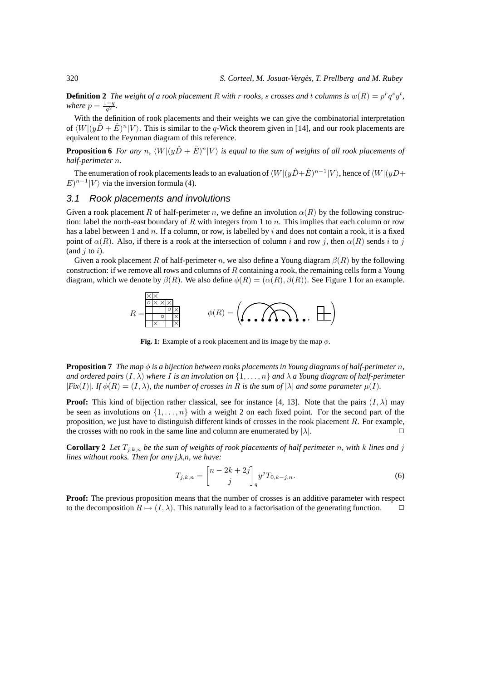**Definition 2** The weight of a rook placement R with r rooks, s crosses and t columns is  $w(R) = p^r q^s y^t$ , *where*  $p = \frac{1-q}{q^2}$ .

With the definition of rook placements and their weights we can give the combinatorial interpretation of  $\langle W|(y\hat{D} + \hat{E})^n|V\rangle$ . This is similar to the q-Wick theorem given in [14], and our rook placements are equivalent to the Feynman diagram of this reference.

**Proposition 6** *For any n*,  $\langle W | (y\hat{D} + \hat{E})^n | V \rangle$  *is equal to the sum of weights of all rook placements of half-perimeter* n*.*

The enumeration of rook placements leads to an evaluation of  $\langle W|(y\hat{D}+\hat{E})^{n-1}|V\rangle$ , hence of  $\langle W|(yD+E)^{n-1}|V\rangle$  $E)^{n-1}|V\rangle$  via the inversion formula (4).

#### 3.1 Rook placements and involutions

Given a rook placement R of half-perimeter n, we define an involution  $\alpha(R)$  by the following construction: label the north-east boundary of R with integers from 1 to n. This implies that each column or row has a label between 1 and n. If a column, or row, is labelled by i and does not contain a rook, it is a fixed point of  $\alpha(R)$ . Also, if there is a rook at the intersection of column i and row j, then  $\alpha(R)$  sends i to j (and  $j$  to  $i$ ).

Given a rook placement R of half-perimeter n, we also define a Young diagram  $\beta(R)$  by the following construction: if we remove all rows and columns of  $R$  containing a rook, the remaining cells form a Young diagram, which we denote by  $\beta(R)$ . We also define  $\phi(R) = (\alpha(R), \beta(R))$ . See Figure 1 for an example.



**Fig. 1:** Example of a rook placement and its image by the map  $\phi$ .

**Proposition 7** *The map*  $\phi$  *is a bijection between rooks placements in Young diagrams of half-perimeter* n, *and ordered pairs* (I, λ) *where* I *is an involution on* {1, . . ., n} *and* λ *a Young diagram of half-perimeter*  $|Fix(I)|$ *. If*  $\phi(R) = (I, \lambda)$ *, the number of crosses in* R *is the sum of*  $|\lambda|$  *and some parameter*  $\mu(I)$ *.* 

**Proof:** This kind of bijection rather classical, see for instance [4, 13]. Note that the pairs  $(I, \lambda)$  may be seen as involutions on  $\{1, \ldots, n\}$  with a weight 2 on each fixed point. For the second part of the proposition, we just have to distinguish different kinds of crosses in the rook placement R. For example, the crosses with no rook in the same line and column are enumerated by  $|\lambda|$ .

**Corollary 2** *Let*  $T_{j,k,n}$  *be the sum of weights of rook placements of half perimeter n, with k lines and j lines without rooks. Then for any j,k,n, we have:*

$$
T_{j,k,n} = \begin{bmatrix} n - 2k + 2j \\ j \end{bmatrix}_q y^j T_{0,k-j,n}.
$$
 (6)

**Proof:** The previous proposition means that the number of crosses is an additive parameter with respect to the decomposition  $R \mapsto (I, \lambda)$ . This naturally lead to a factorisation of the generating function.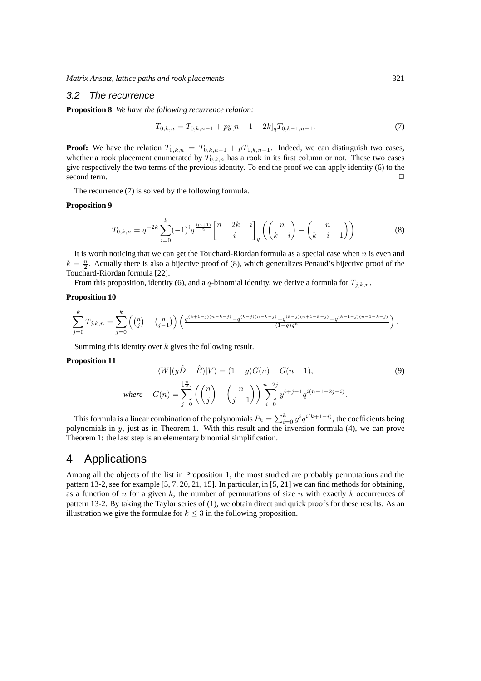*Matrix Ansatz, lattice paths and rook placements* 321

#### 3.2 The recurrence

**Proposition 8** *We have the following recurrence relation:*

$$
T_{0,k,n} = T_{0,k,n-1} + py[n+1-2k]_q T_{0,k-1,n-1}.
$$
\n(7)

**Proof:** We have the relation  $T_{0,k,n} = T_{0,k,n-1} + pT_{1,k,n-1}$ . Indeed, we can distinguish two cases, whether a rook placement enumerated by  $T_{0,k,n}$  has a rook in its first column or not. These two cases give respectively the two terms of the previous identity. To end the proof we can apply identity (6) to the second term.

The recurrence (7) is solved by the following formula.

#### **Proposition 9**

$$
T_{0,k,n} = q^{-2k} \sum_{i=0}^{k} (-1)^i q^{\frac{i(i+1)}{2}} {n-2k+i \brack i}_q \left( {n \choose k-i} - {n \choose k-i-1} \right).
$$
 (8)

It is worth noticing that we can get the Touchard-Riordan formula as a special case when  $n$  is even and  $k = \frac{n}{2}$ . Actually there is also a bijective proof of (8), which generalizes Penaud's bijective proof of the Touchard-Riordan formula [22].

From this proposition, identity (6), and a q-binomial identity, we derive a formula for  $T_{j,k,n}$ .

#### **Proposition 10**

$$
\sum_{j=0}^k T_{j,k,n} = \sum_{j=0}^k \left( \binom{n}{j} - \binom{n}{j-1} \right) \left( \frac{q^{(k+1-j)(n-k-j)} - q^{(k-j)(n-k-j)} + q^{(k-j)(n+1-k-j)} - q^{(k+1-j)(n+1-k-j)}}{(1-q)q^n} \right).
$$

Summing this identity over  $k$  gives the following result.

#### **Proposition 11**

$$
\langle W|(y\hat{D}+\hat{E})|V\rangle = (1+y)G(n) - G(n+1),\tag{9}
$$
  
where 
$$
G(n) = \sum_{j=0}^{\lfloor \frac{n}{2} \rfloor} \left( \binom{n}{j} - \binom{n}{j-1} \right) \sum_{i=0}^{n-2j} y^{i+j-1} q^{i(n+1-2j-i)}.
$$

This formula is a linear combination of the polynomials  $P_k = \sum_{i=0}^k y^i q^{i(k+1-i)}$ , the coefficients being polynomials in y, just as in Theorem 1. With this result and the inversion formula (4), we can prove Theorem 1: the last step is an elementary binomial simplification.

# 4 Applications

Among all the objects of the list in Proposition 1, the most studied are probably permutations and the pattern 13-2, see for example [5, 7, 20, 21, 15]. In particular, in [5, 21] we can find methods for obtaining, as a function of n for a given k, the number of permutations of size n with exactly k occurrences of pattern 13-2. By taking the Taylor series of (1), we obtain direct and quick proofs for these results. As an illustration we give the formulae for  $k \leq 3$  in the following proposition.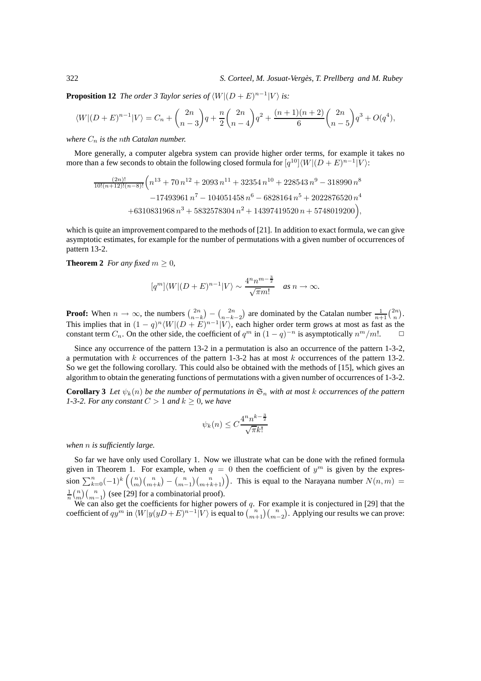**Proposition 12** *The order 3 Taylor series of*  $\langle W | (D + E)^{n-1} | V \rangle$  *is:* 

$$
\langle W|(D+E)^{n-1}|V\rangle = C_n + {2n \choose n-3}q + \frac{n}{2}{2n \choose n-4}q^2 + \frac{(n+1)(n+2)}{6} {2n \choose n-5}q^3 + O(q^4),
$$

*where*  $C_n$  *is the nth Catalan number.* 

More generally, a computer algebra system can provide higher order terms, for example it takes no more than a few seconds to obtain the following closed formula for  $[q^{10}]\langle W| (D + E)^{n-1} | V \rangle$ :

$$
\frac{(2n)!}{10!(n+12)!(n-8)!} \left(n^{13} + 70 n^{12} + 2093 n^{11} + 32354 n^{10} + 228543 n^9 - 318990 n^8 - 17493961 n^7 - 104051458 n^6 - 6828164 n^5 + 2022876520 n^4 + 6310831968 n^3 + 5832578304 n^2 + 14397419520 n + 5748019200\right),
$$

which is quite an improvement compared to the methods of [21]. In addition to exact formula, we can give asymptotic estimates, for example for the number of permutations with a given number of occurrences of pattern 13-2.

**Theorem 2** *For any fixed*  $m \geq 0$ *,* 

$$
[q^m]\langle W|(D+E)^{n-1}|V\rangle \sim \frac{4^n n^{m-\frac{3}{2}}}{\sqrt{\pi}m!} \quad \text{as } n \to \infty.
$$

**Proof:** When  $n \to \infty$ , the numbers  $\binom{2n}{n-k} - \binom{2n}{n-k-2}$  are dominated by the Catalan number  $\frac{1}{n+1} \binom{2n}{n}$ . This implies that in  $(1 - q)^n \langle W | (D + E)^{n-1} | V \rangle$ , each higher order term grows at most as fast as the constant term  $C_n$ . On the other side, the coefficient of  $q^m$  in  $(1-q)^{-n}$  is asymptotically  $n^m/m!$ .  $\Box$ 

Since any occurrence of the pattern 13-2 in a permutation is also an occurrence of the pattern 1-3-2, a permutation with  $k$  occurrences of the pattern 1-3-2 has at most  $k$  occurrences of the pattern 13-2. So we get the following corollary. This could also be obtained with the methods of [15], which gives an algorithm to obtain the generating functions of permutations with a given number of occurrences of 1-3-2.

**Corollary 3** Let  $\psi_k(n)$  be the number of permutations in  $\mathfrak{S}_n$  with at most k occurrences of the pattern *1-3-2. For any constant*  $C > 1$  *and*  $k \geq 0$ *, we have* 

$$
\psi_k(n) \le C \frac{4^n n^{k - \frac{3}{2}}}{\sqrt{\pi} k!}
$$

*when* n *is sufficiently large.*

So far we have only used Corollary 1. Now we illustrate what can be done with the refined formula given in Theorem 1. For example, when  $q = 0$  then the coefficient of  $y^m$  is given by the expression  $\sum_{k=0}^{n}(-1)^{k} \binom{n}{m}\binom{n}{m+k} - \binom{n}{m-1}\binom{n}{m+k+1}$ . This is equal to the Narayana number  $N(n, m) =$  $\frac{1}{n} {n \choose m} {n \choose m-1}$  (see [29] for a combinatorial proof).

We can also get the coefficients for higher powers of  $q$ . For example it is conjectured in [29] that the coefficient of  $qy^m$  in  $\langle W|y(yD+E)^{n-1}|V\rangle$  is equal to  $\binom{n}{m+1}\binom{n}{m-2}$ . Applying our results we can prove: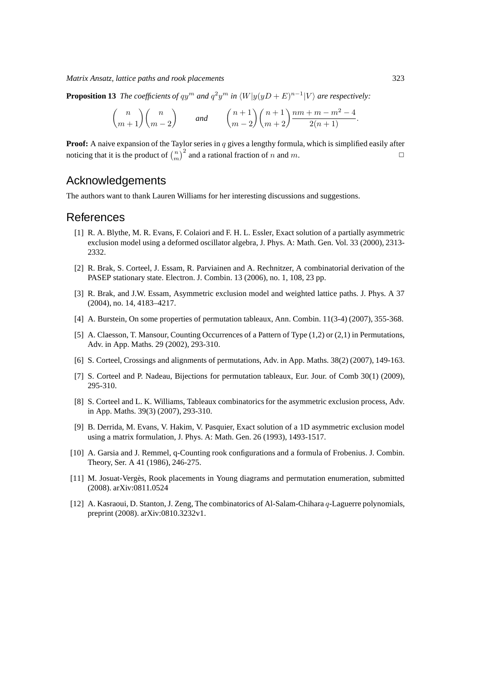*Matrix Ansatz, lattice paths and rook placements* 323

**Proposition 13** *The coefficients of*  $qy^m$  *and*  $q^2y^m$  *in*  $\langle W|y(yD+E)^{n-1}|V\rangle$  *are respectively:* 

$$
\binom{n}{m+1}\binom{n}{m-2} \qquad \text{and} \qquad \binom{n+1}{m-2}\binom{n+1}{m+2}\frac{nm+m-m^2-4}{2(n+1)}.
$$

**Proof:** A naive expansion of the Taylor series in q gives a lengthy formula, which is simplified easily after noticing that it is the product of  $\binom{n}{m}^2$  and a rational fraction of n and m.

## Acknowledgements

The authors want to thank Lauren Williams for her interesting discussions and suggestions.

## References

- [1] R. A. Blythe, M. R. Evans, F. Colaiori and F. H. L. Essler, Exact solution of a partially asymmetric exclusion model using a deformed oscillator algebra, J. Phys. A: Math. Gen. Vol. 33 (2000), 2313- 2332.
- [2] R. Brak, S. Corteel, J. Essam, R. Parviainen and A. Rechnitzer, A combinatorial derivation of the PASEP stationary state. Electron. J. Combin. 13 (2006), no. 1, 108, 23 pp.
- [3] R. Brak, and J.W. Essam, Asymmetric exclusion model and weighted lattice paths. J. Phys. A 37 (2004), no. 14, 4183–4217.
- [4] A. Burstein, On some properties of permutation tableaux, Ann. Combin. 11(3-4) (2007), 355-368.
- [5] A. Claesson, T. Mansour, Counting Occurrences of a Pattern of Type (1,2) or (2,1) in Permutations, Adv. in App. Maths. 29 (2002), 293-310.
- [6] S. Corteel, Crossings and alignments of permutations, Adv. in App. Maths. 38(2) (2007), 149-163.
- [7] S. Corteel and P. Nadeau, Bijections for permutation tableaux, Eur. Jour. of Comb 30(1) (2009), 295-310.
- [8] S. Corteel and L. K. Williams, Tableaux combinatorics for the asymmetric exclusion process, Adv. in App. Maths. 39(3) (2007), 293-310.
- [9] B. Derrida, M. Evans, V. Hakim, V. Pasquier, Exact solution of a 1D asymmetric exclusion model using a matrix formulation, J. Phys. A: Math. Gen. 26 (1993), 1493-1517.
- [10] A. Garsia and J. Remmel, q-Counting rook configurations and a formula of Frobenius. J. Combin. Theory, Ser. A 41 (1986), 246-275.
- [11] M. Josuat-Vergès, Rook placements in Young diagrams and permutation enumeration, submitted (2008). arXiv:0811.0524
- [12] A. Kasraoui, D. Stanton, J. Zeng, The combinatorics of Al-Salam-Chihara q-Laguerre polynomials, preprint (2008). arXiv:0810.3232v1.